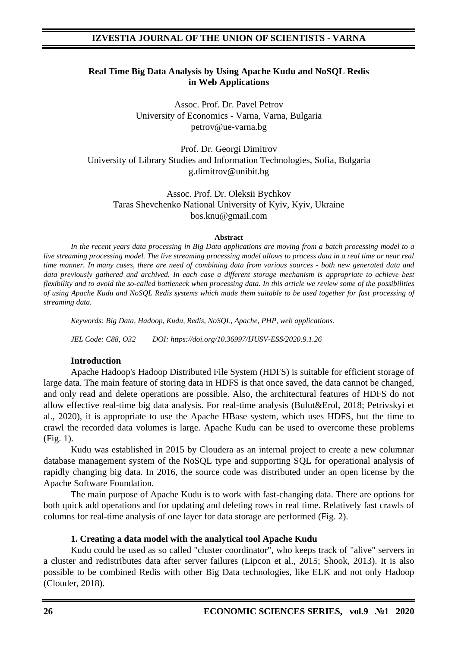#### **Real Time Big Data Analysis by Using Apache Kudu and NoSQL Redis in Web Applications**

Assoc. Prof. Dr. Pavel Petrov University of Economics - Varna, Varna, Bulgaria petrov@ue-varna.bg

Prof. Dr. Georgi Dimitrov University of Library Studies and Information Technologies, Sofia, Bulgaria g.dimitrov@unibit.bg

Assoc. Prof. Dr. Oleksii Bychkov Taras Shevchenko National University of Kyiv, Kyiv, Ukraine bos.knu@gmail.com

#### **Abstract**

*In the recent years data processing in Big Data applications are moving from a batch processing model to a live streaming processing model. The live streaming processing model allows to process data in a real time or near real time manner. In many cases, there are need of combining data from various sources - both new generated data and data previously gathered and archived. In each case a different storage mechanism is appropriate to achieve best flexibility and to avoid the so-called bottleneck when processing data. In this article we review some of the possibilities of using Apache Kudu and NoSQL Redis systems which made them suitable to be used together for fast processing of streaming data.*

*Keywords: Big Data, Hadoop, Kudu, Redis, NoSQL, Apache, PHP, web applications.*

*JEL Code: C88, O32 DOI: https://doi.org/10.36997/IJUSV-ESS/2020.9.1.26*

#### **Introduction**

Apache Hadoop's Hadoop Distributed File System (HDFS) is suitable for efficient storage of large data. The main feature of storing data in HDFS is that once saved, the data cannot be changed, and only read and delete operations are possible. Also, the architectural features of HDFS do not allow effective real-time big data analysis. For real-time analysis (Bulut&Erol, 2018; Petrivskyi et al., 2020), it is appropriate to use the Apache HBase system, which uses HDFS, but the time to crawl the recorded data volumes is large. Apache Kudu can be used to overcome these problems (Fig. 1).

Kudu was established in 2015 by Cloudera as an internal project to create a new columnar database management system of the NoSQL type and supporting SQL for operational analysis of rapidly changing big data. In 2016, the source code was distributed under an open license by the Apache Software Foundation.

The main purpose of Apache Kudu is to work with fast-changing data. There are options for both quick add operations and for updating and deleting rows in real time. Relatively fast crawls of columns for real-time analysis of one layer for data storage are performed (Fig. 2).

#### **1. Creating a data model with the analytical tool Apache Kudu**

Kudu could be used as so called "cluster coordinator", who keeps track of "alive" servers in a cluster and redistributes data after server failures (Lipcon et al., 2015; Shook, 2013). It is also possible to be combined Redis with other Big Data technologies, like ELK and not only Hadoop (Clouder, 2018).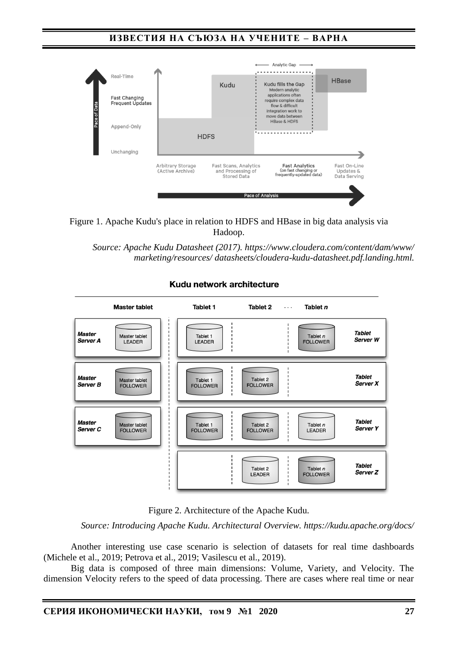# **ИЗВЕСТИЯ НА СЪЮЗА НА УЧЕНИТЕ – ВАРНА**





*Source: Apache Kudu Datasheet (2017). https://www.cloudera.com/content/dam/www/ marketing/resources/ datasheets/cloudera-kudu-datasheet.pdf.landing.html.* 



Kudu network architecture

Figure 2. Architecture of the Apache Kudu.

*Source: Introducing Apache Kudu. Architectural Overview. https://kudu.apache.org/docs/*

Another interesting use case scenario is selection of datasets for real time dashboards (Michele et al., 2019; Petrova et al., 2019; Vasilescu et al., 2019).

Big data is composed of three main dimensions: Volume, Variety, and Velocity. The dimension Velocity refers to the speed of data processing. There are cases where real time or near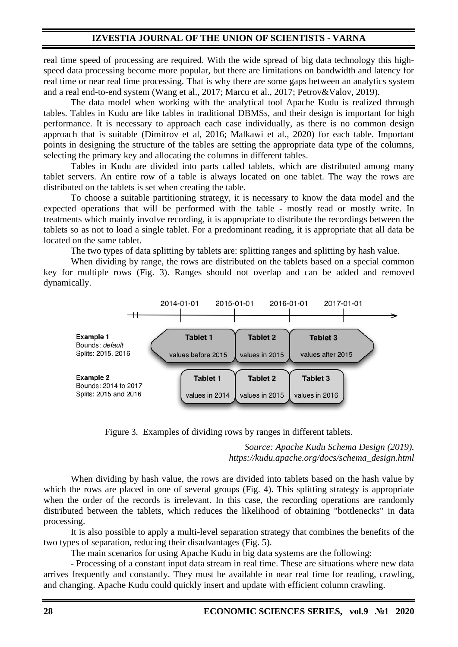real time speed of processing are required. With the wide spread of big data technology this highspeed data processing become more popular, but there are limitations on bandwidth and latency for real time or near real time processing. That is why there are some gaps between an analytics system and a real end-to-end system (Wang et al., 2017; Marcu et al., 2017; Petrov&Valov, 2019).

The data model when working with the analytical tool Apache Kudu is realized through tables. Tables in Kudu are like tables in traditional DBMSs, and their design is important for high performance. It is necessary to approach each case individually, as there is no common design approach that is suitable (Dimitrov et al, 2016; Malkawi et al., 2020) for each table. Important points in designing the structure of the tables are setting the appropriate data type of the columns, selecting the primary key and allocating the columns in different tables.

Tables in Kudu are divided into parts called tablets, which are distributed among many tablet servers. An entire row of a table is always located on one tablet. The way the rows are distributed on the tablets is set when creating the table.

To choose a suitable partitioning strategy, it is necessary to know the data model and the expected operations that will be performed with the table - mostly read or mostly write. In treatments which mainly involve recording, it is appropriate to distribute the recordings between the tablets so as not to load a single tablet. For a predominant reading, it is appropriate that all data be located on the same tablet.

The two types of data splitting by tablets are: splitting ranges and splitting by hash value.

When dividing by range, the rows are distributed on the tablets based on a special common key for multiple rows (Fig. 3). Ranges should not overlap and can be added and removed dynamically.



Figure 3. Examples of dividing rows by ranges in different tablets.

*Source: Apache Kudu Schema Design (2019). https://kudu.apache.org/docs/schema\_design.html*

When dividing by hash value, the rows are divided into tablets based on the hash value by which the rows are placed in one of several groups (Fig. 4). This splitting strategy is appropriate when the order of the records is irrelevant. In this case, the recording operations are randomly distributed between the tablets, which reduces the likelihood of obtaining "bottlenecks" in data processing.

It is also possible to apply a multi-level separation strategy that combines the benefits of the two types of separation, reducing their disadvantages (Fig. 5).

The main scenarios for using Apache Kudu in big data systems are the following:

- Processing of a constant input data stream in real time. These are situations where new data arrives frequently and constantly. They must be available in near real time for reading, crawling, and changing. Apache Kudu could quickly insert and update with efficient column crawling.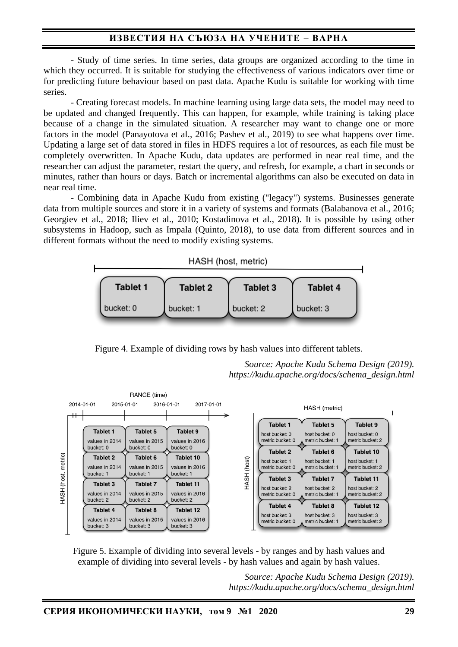# **ИЗВЕСТИЯ НА СЪЮЗА НА УЧЕНИТЕ – ВАРНА**

- Study of time series. In time series, data groups are organized according to the time in which they occurred. It is suitable for studying the effectiveness of various indicators over time or for predicting future behaviour based on past data. Apache Kudu is suitable for working with time series.

- Creating forecast models. In machine learning using large data sets, the model may need to be updated and changed frequently. This can happen, for example, while training is taking place because of a change in the simulated situation. A researcher may want to change one or more factors in the model (Panayotova et al., 2016; Pashev et al., 2019) to see what happens over time. Updating a large set of data stored in files in HDFS requires a lot of resources, as each file must be completely overwritten. In Apache Kudu, data updates are performed in near real time, and the researcher can adjust the parameter, restart the query, and refresh, for example, a chart in seconds or minutes, rather than hours or days. Batch or incremental algorithms can also be executed on data in near real time.

- Combining data in Apache Kudu from existing ("legacy") systems. Businesses generate data from multiple sources and store it in a variety of systems and formats (Balabanova et al., 2016; Georgiev et al., 2018; Iliev et al., 2010; Kostadinova et al., 2018). It is possible by using other subsystems in Hadoop, such as Impala (Quinto, 2018), to use data from different sources and in different formats without the need to modify existing systems.



Figure 4. Example of dividing rows by hash values into different tablets.

*Source: Apache Kudu Schema Design (2019). https://kudu.apache.org/docs/schema\_design.html*



Figure 5. Example of dividing into several levels - by ranges and by hash values and example of dividing into several levels - by hash values and again by hash values.

> *Source: Apache Kudu Schema Design (2019). https://kudu.apache.org/docs/schema\_design.html*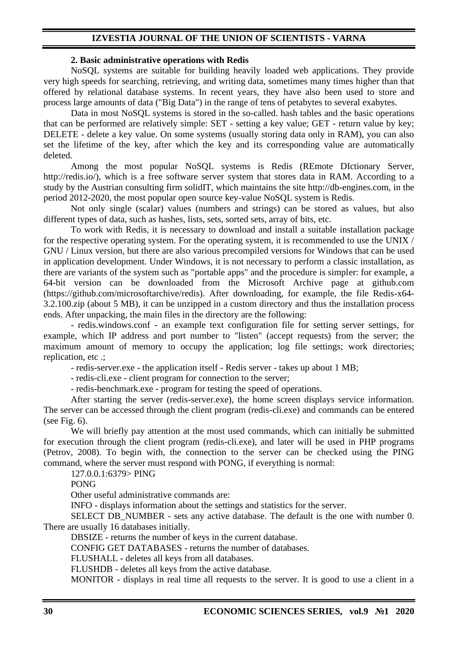#### **2. Basic administrative operations with Redis**

NoSQL systems are suitable for building heavily loaded web applications. They provide very high speeds for searching, retrieving, and writing data, sometimes many times higher than that offered by relational database systems. In recent years, they have also been used to store and process large amounts of data ("Big Data") in the range of tens of petabytes to several exabytes.

Data in most NoSQL systems is stored in the so-called. hash tables and the basic operations that can be performed are relatively simple: SET - setting a key value; GET - return value by key; DELETE - delete a key value. On some systems (usually storing data only in RAM), you can also set the lifetime of the key, after which the key and its corresponding value are automatically deleted.

Among the most popular NoSQL systems is Redis (REmote DIctionary Server, http://redis.io/), which is a free software server system that stores data in RAM. According to a study by the Austrian consulting firm solidIT, which maintains the site http://db-engines.com, in the period 2012-2020, the most popular open source key-value NoSQL system is Redis.

Not only single (scalar) values (numbers and strings) can be stored as values, but also different types of data, such as hashes, lists, sets, sorted sets, array of bits, etc.

To work with Redis, it is necessary to download and install a suitable installation package for the respective operating system. For the operating system, it is recommended to use the UNIX / GNU / Linux version, but there are also various precompiled versions for Windows that can be used in application development. Under Windows, it is not necessary to perform a classic installation, as there are variants of the system such as "portable apps" and the procedure is simpler: for example, a 64-bit version can be downloaded from the Microsoft Archive page at github.com (https://github.com/microsoftarchive/redis). After downloading, for example, the file Redis-x64- 3.2.100.zip (about 5 MB), it can be unzipped in a custom directory and thus the installation process ends. After unpacking, the main files in the directory are the following:

- redis.windows.conf - an example text configuration file for setting server settings, for example, which IP address and port number to "listen" (accept requests) from the server; the maximum amount of memory to occupy the application; log file settings; work directories; replication, etc .;

- redis-server.exe - the application itself - Redis server - takes up about 1 MB;

- redis-cli.exe - client program for connection to the server;

- redis-benchmark.exe - program for testing the speed of operations.

After starting the server (redis-server.exe), the home screen displays service information. The server can be accessed through the client program (redis-cli.exe) and commands can be entered (see Fig.  $6$ ).

We will briefly pay attention at the most used commands, which can initially be submitted for execution through the client program (redis-cli.exe), and later will be used in PHP programs (Petrov, 2008). To begin with, the connection to the server can be checked using the PING command, where the server must respond with PONG, if everything is normal:

127.0.0.1:6379> PING

PONG

Other useful administrative commands are:

INFO - displays information about the settings and statistics for the server.

SELECT DB\_NUMBER - sets any active database. The default is the one with number 0. There are usually 16 databases initially.

DBSIZE - returns the number of keys in the current database.

CONFIG GET DATABASES - returns the number of databases.

FLUSHALL - deletes all keys from all databases.

FLUSHDB - deletes all keys from the active database.

MONITOR - displays in real time all requests to the server. It is good to use a client in a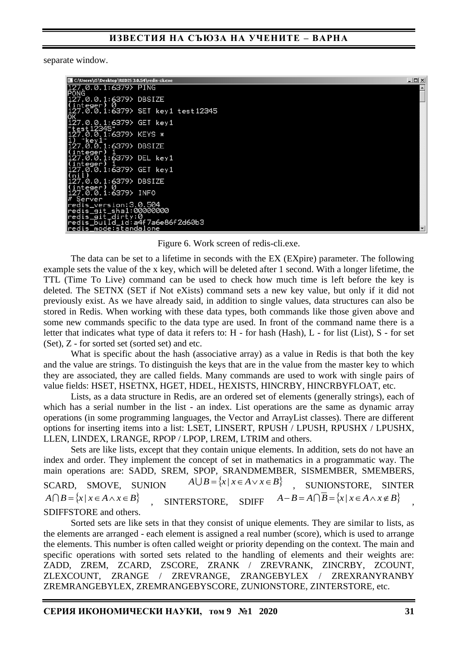#### **ИЗВЕСТИЯ НА СЪЮЗА НА УЧЕНИТЕ – ВАРНА**

separate window.

| C:\Users\i5\Desktop\REDIS 3.0.54\redis-cli.exe        | $ \Box$ $\times$ |
|-------------------------------------------------------|------------------|
| 127.0.0.1:6379> PING                                  |                  |
| <b>IPONG</b>                                          |                  |
| .0.0.1:6379> DBSIZE                                   |                  |
| integer) 0<br>.27.0.0.1:6379> SET key1 test12345      |                  |
| .<br>27.0.0.1:6379> GET key1<br>'test12345"__________ |                  |
| .0.0.1:6379> KEYS *<br>"key1"                         |                  |
| 0.0.1:6379> DBSIZE                                    |                  |
| integer)<br>.0.0.1:6379> DEL key1                     |                  |
| <u>integer)</u><br>.27.0.0.1:6379> GET key1           |                  |
| (nil)<br>27.0.0.1:6379> DBSIZE<br>integer) 0          |                  |
| 27.0.0.1:6379> INFO<br>Server                         |                  |
| redis_version:3.0.504                                 |                  |
| redis_git_sha1:00000000                               |                  |
| redis_git_dirty:0                                     |                  |
| redis_buiId_id:a4f7a6e86f2d60b3                       |                  |
| redis_mode:standalone                                 |                  |

Figure 6. Work screen of redis-cli.exe.

The data can be set to a lifetime in seconds with the EX (EXpire) parameter. The following example sets the value of the x key, which will be deleted after 1 second. With a longer lifetime, the TTL (Time To Live) command can be used to check how much time is left before the key is deleted. The SETNX (SET if Not eXists) command sets a new key value, but only if it did not previously exist. As we have already said, in addition to single values, data structures can also be stored in Redis. When working with these data types, both commands like those given above and some new commands specific to the data type are used. In front of the command name there is a letter that indicates what type of data it refers to: H - for hash (Hash), L - for list (List), S - for set (Set), Z - for sorted set (sorted set) and etc.

What is specific about the hash (associative array) as a value in Redis is that both the key and the value are strings. To distinguish the keys that are in the value from the master key to which they are associated, they are called fields. Many commands are used to work with single pairs of value fields: HSET, HSETNX, HGET, HDEL, HEXISTS, HINCRBY, HINCRBYFLOAT, etc.

Lists, as a data structure in Redis, are an ordered set of elements (generally strings), each of which has a serial number in the list - an index. List operations are the same as dynamic array operations (in some programming languages, the Vector and ArrayList classes). There are different options for inserting items into a list: LSET, LINSERT, RPUSH / LPUSH, RPUSHX / LPUSHX, LLEN, LINDEX, LRANGE, RPOP / LPOP, LREM, LTRIM and others.

Sets are like lists, except that they contain unique elements. In addition, sets do not have an index and order. They implement the concept of set in mathematics in a programmatic way. The main operations are: SADD, SREM, SPOP, SRANDMEMBER, SISMEMBER, SMEMBERS, SCARD, SMOVE, SUNION  $A \cup B = \{x \mid x \in A \lor x \in B\}$  , SUNIONSTORE, SINTER  $A \cap B = \{x \mid x \in A \land x \in B\}$  , SINTERSTORE, *A*−*B* = *A* $\cap$ *B* = {*x* | *x*  $\in$  *A*  $\wedge$ *x* $\notin$  *B*} SDIFFSTORE and others.

Sorted sets are like sets in that they consist of unique elements. They are similar to lists, as the elements are arranged - each element is assigned a real number (score), which is used to arrange the elements. This number is often called weight or priority depending on the context. The main and specific operations with sorted sets related to the handling of elements and their weights are: ZADD, ZREM, ZCARD, ZSCORE, ZRANK / ZREVRANK, ZINCRBY, ZCOUNT, ZLEXCOUNT, ZRANGE / ZREVRANGE, ZRANGEBYLEX / ZREXRANYRANBY ZREMRANGEBYLEX, ZREMRANGEBYSCORE, ZUNIONSTORE, ZINTERSTORE, etc.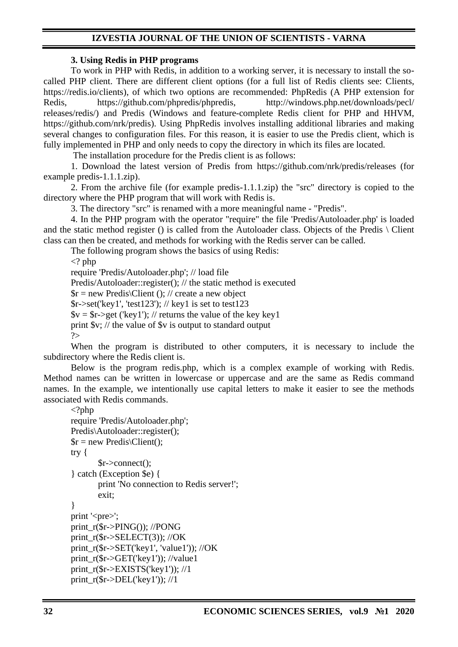#### **3. Using Redis in PHP programs**

To work in PHP with Redis, in addition to a working server, it is necessary to install the socalled PHP client. There are different client options (for a full list of Redis clients see: Clients, https://redis.io/clients), of which two options are recommended: PhpRedis (A PHP extension for Redis, https://github.com/phpredis/phpredis, http://windows.php.net/downloads/pecl/ releases/redis/) and Predis (Windows and feature-complete Redis client for PHP and HHVM, https://github.com/nrk/predis). Using PhpRedis involves installing additional libraries and making several changes to configuration files. For this reason, it is easier to use the Predis client, which is fully implemented in PHP and only needs to copy the directory in which its files are located.

The installation procedure for the Predis client is as follows:

1. Download the latest version of Predis from https://github.com/nrk/predis/releases (for example predis-1.1.1.zip).

2. From the archive file (for example predis-1.1.1.zip) the "src" directory is copied to the directory where the PHP program that will work with Redis is.

3. The directory "src" is renamed with a more meaningful name - "Predis".

4. In the PHP program with the operator "require" the file 'Predis/Autoloader.php' is loaded and the static method register () is called from the Autoloader class. Objects of the Predis \ Client class can then be created, and methods for working with the Redis server can be called.

The following program shows the basics of using Redis:

 $\langle$ ? php

require 'Predis/Autoloader.php'; // load file Predis/Autoloader::register(); // the static method is executed  $\text{S}_r = \text{new Predis} \cdot \text{Client}$  (); // create a new object  $\frac{\text{S}}{\text{S}}$ r- $>$ set('key1', 'test123'); // key1 is set to test123  $y = \frac{\epsilon}{2}$  ('key1'); // returns the value of the key key1 print \$v; // the value of \$v is output to standard output ?>

When the program is distributed to other computers, it is necessary to include the subdirectory where the Redis client is.

Below is the program redis.php, which is a complex example of working with Redis. Method names can be written in lowercase or uppercase and are the same as Redis command names. In the example, we intentionally use capital letters to make it easier to see the methods associated with Redis commands.

```
\langle?php
require 'Predis/Autoloader.php';
Predis\Autoloader::register();
r = new Predis\text{Client};
try {
       $r->connect();
} catch (Exception $e) {
       print 'No connection to Redis server!';
       exit;
}
print '<pre>';
print_r($r->PING()); //PONG
print_r(r-SELECT(3)); //OK
print_r($r->SET('key1', 'value1')); //OK
print_r($r->GET('key1')); //value1
print r(Sr->EXISTS('key1')); //1
print r(\text{$s$r$->DEL('key1')); //1
```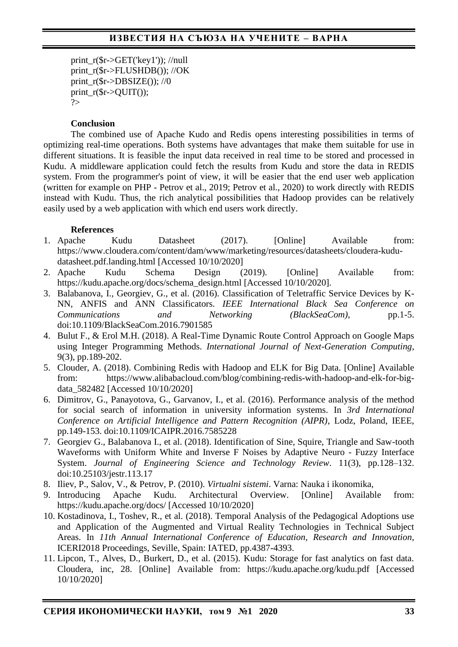print  $r(Sr > GET('key1'))$ ; //null print\_r(\$r->FLUSHDB()); //OK print\_ $r$ (\$r->DBSIZE()); //0 print  $r(\text{Sr->OUTC)})$ ;  $\gamma$ 

### **Conclusion**

The combined use of Apache Kudo and Redis opens interesting possibilities in terms of optimizing real-time operations. Both systems have advantages that make them suitable for use in different situations. It is feasible the input data received in real time to be stored and processed in Kudu. A middleware application could fetch the results from Kudu and store the data in REDIS system. From the programmer's point of view, it will be easier that the end user web application (written for example on PHP - Petrov et al., 2019; Petrov et al., 2020) to work directly with REDIS instead with Kudu. Thus, the rich analytical possibilities that Hadoop provides can be relatively easily used by a web application with which end users work directly.

## **References**

- 1. Apache Kudu Datasheet (2017). [Online] Available from: https://www.cloudera.com/content/dam/www/marketing/resources/datasheets/cloudera-kududatasheet.pdf.landing.html [Accessed 10/10/2020]
- 2. Apache Kudu Schema Design (2019). [Online] Available from: https://kudu.apache.org/docs/schema\_design.html [Accessed 10/10/2020].
- 3. Balabanova, I., Georgiev, G., et al. (2016). Classification of Teletraffic Service Devices by K-NN, ANFIS and ANN Classificators. *IEEE International Black Sea Conference on Communications* and *Networking* (*BlackSeaCom*), pp.1-5. doi:10.1109/BlackSeaCom.2016.7901585
- 4. Bulut F., & Erol M.H. (2018). A Real-Time Dynamic Route Control Approach on Google Maps using Integer Programming Methods. *International Journal of Next-Generation Computing*, 9(3), pp.189-202.
- 5. Clouder, A. (2018). Combining Redis with Hadoop and ELK for Big Data. [Online] Available from: https://www.alibabacloud.com/blog/combining-redis-with-hadoop-and-elk-for-bigdata\_582482 [Accessed 10/10/2020]
- 6. Dimitrov, G., Panayotova, G., Garvanov, I., et al. (2016). Performance analysis of the method for social search of information in university information systems. In *3rd International Conference on Artificial Intelligence and Pattern Recognition (AIPR)*, Lodz, Poland, IEEE, pp.149-153. doi:10.1109/ICAIPR.2016.7585228
- 7. Georgiev G., Balabanova I., et al. (2018). Identification of Sine, Squire, Triangle and Saw-tooth Waveforms with Uniform White and Inverse F Noises by Adaptive Neuro - Fuzzy Interface System. *Journal of Engineering Science and Technology Review*. 11(3), pp.128–132. doi:10.25103/jestr.113.17
- 8. Iliev, P., Salov, V., & Petrov, P. (2010). *Virtualni sistemi*. Varna: Nauka i ikonomika,
- 9. Introducing Apache Kudu. Architectural Overview. [Online] Available from: https://kudu.apache.org/docs/ [Accessed 10/10/2020]
- 10. Kostadinova, I., Toshev, R., et al. (2018). Temporal Analysis of the Pedagogical Adoptions use and Application of the Augmented and Virtual Reality Technologies in Technical Subject Areas. In *11th Annual International Conference of Education, Research and Innovation*, ICERI2018 Proceedings, Seville, Spain: IATED, pp.4387-4393.
- 11. Lipcon, T., Alves, D., Burkert, D., et al. (2015). Kudu: Storage for fast analytics on fast data. Cloudera, inc, 28. [Online] Available from: https://kudu.apache.org/kudu.pdf [Accessed 10/10/2020]